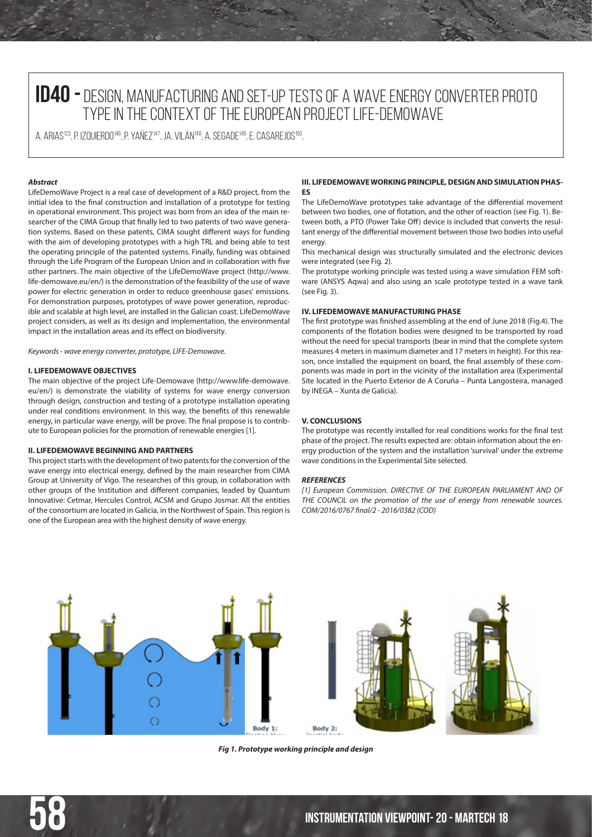# **ID40 -** DESIGN, MANUFACTURING AND SET-UP TESTS OF A WAVE ENERGY CONVERTER PROTO TYPE IN THE CONTEXT OF THE EUROPEAN PROJECT LIFE-DEMOWAVE

A. ARIAS<sup>123</sup>, P. IZQUIERDO<sup>146</sup>, P. YAÑEZ<sup>147</sup>, JA. VILÁN<sup>148</sup>, A. SEGADE<sup>149</sup>, E. CASAREJOS<sup>150</sup>,

# *Abstract*

LifeDemoWave Project is a real case of development of a R&D project, from the initial idea to the final construction and installation of a prototype for testing in operational environment. This project was born from an idea of the main researcher of the CIMA Group that finally led to two patents of two wave generation systems. Based on these patents, CIMA sought different ways for funding with the aim of developing prototypes with a high TRL and being able to test the operating principle of the patented systems. Finally, funding was obtained through the Life Program of the European Union and in collaboration with five other partners. The main objective of the LifeDemoWave project (http://www. life-demowave.eu/en/) is the demonstration of the feasibility of the use of wave power for electric generation in order to reduce greenhouse gases' emissions. For demonstration purposes, prototypes of wave power generation, reproducible and scalable at high level, are installed in the Galician coast. LifeDemoWave project considers, as well as its design and implementation, the environmental impact in the installation areas and its effect on biodiversity.

*Keywords - wave energy converter, prototype, LIFE-Demowave.*

#### **I. LIFEDEMOWAVE OBJECTIVES**

The main objective of the project Life-Demowave (http://www.life-demowave. eu/en/) is demonstrate the viability of systems for wave energy conversion through design, construction and testing of a prototype installation operating under real conditions environment. In this way, the benefits of this renewable energy, in particular wave energy, will be prove. The final propose is to contribute to European policies for the promotion of renewable energies [1].

# **II. LIFEDEMOWAVE BEGINNING AND PARTNERS**

This project starts with the development of two patents for the conversion of the wave energy into electrical energy, defined by the main researcher from CIMA Group at University of Vigo. The researches of this group, in collaboration with other groups of the Institution and different companies, leaded by Quantum Innovative: Cetmar, Hercules Control, ACSM and Grupo Josmar. All the entities of the consortium are located in Galicia, in the Northwest of Spain. This region is one of the European area with the highest density of wave energy.

## **III. LIFEDEMOWAVE WORKING PRINCIPLE, DESIGN AND SIMULATION PHAS-ES**

The LifeDemoWave prototypes take advantage of the differential movement between two bodies, one of flotation, and the other of reaction (see Fig. 1). Between both, a PTO (Power Take Off) device is included that converts the resultant energy of the differential movement between those two bodies into useful energy.

This mechanical design was structurally simulated and the electronic devices were integrated (see Fig. 2).

The prototype working principle was tested using a wave simulation FEM software (ANSYS Aqwa) and also using an scale prototype tested in a wave tank (see Fig. 3).

# **IV. LIFEDEMOWAVE MANUFACTURING PHASE**

The first prototype was finished assembling at the end of June 2018 (Fig.4). The components of the flotation bodies were designed to be transported by road without the need for special transports (bear in mind that the complete system measures 4 meters in maximum diameter and 17 meters in height). For this reason, once installed the equipment on board, the final assembly of these components was made in port in the vicinity of the installation area (Experimental Site located in the Puerto Exterior de A Coruña – Punta Langosteira, managed by INEGA – Xunta de Galicia).

## **V. CONCLUSIONS**

The prototype was recently installed for real conditions works for the final test phase of the project. The results expected are: obtain information about the energy production of the system and the installation 'survival' under the extreme wave conditions in the Experimental Site selected.

#### *REFERENCES*

*[1] European Commission. DIRECTIVE OF THE EUROPEAN PARLIAMENT AND OF THE COUNCIL on the promotion of the use of energy from renewable sources. COM/2016/0767 final/2 - 2016/0382 (COD)*



*Fig 1. Prototype working principle and design*